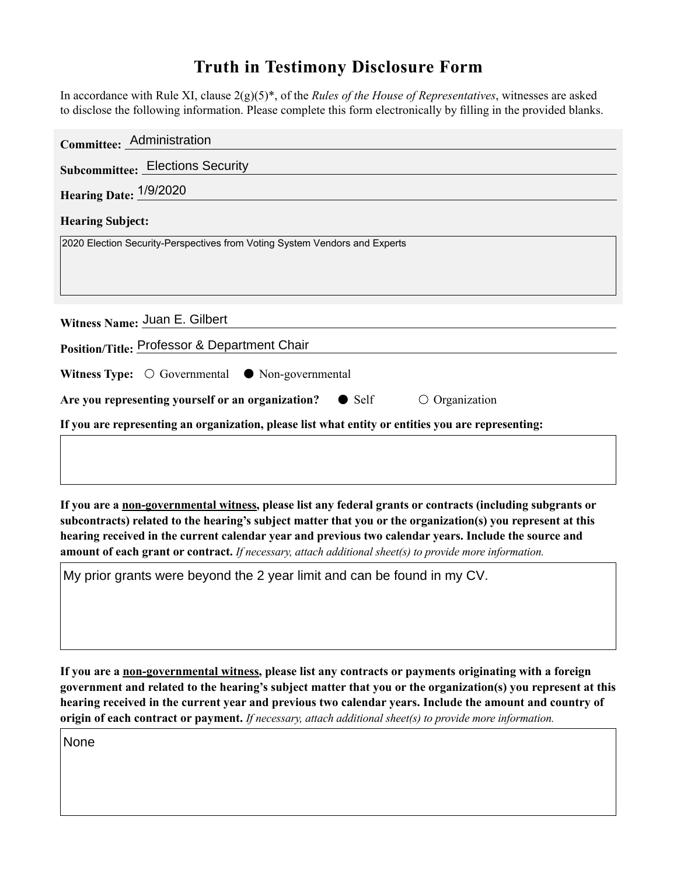## **Truth in Testimony Disclosure Form**

In accordance with Rule XI, clause 2(g)(5)\*, of the *Rules of the House of Representatives*, witnesses are asked to disclose the following information. Please complete this form electronically by filling in the provided blanks.

| Committee: Administration                                                                          |
|----------------------------------------------------------------------------------------------------|
| <b>Subcommittee: Elections Security</b>                                                            |
| <b>Hearing Date: 1/9/2020</b>                                                                      |
| <b>Hearing Subject:</b>                                                                            |
| 2020 Election Security-Perspectives from Voting System Vendors and Experts                         |
|                                                                                                    |
|                                                                                                    |
| Witness Name: Juan E. Gilbert                                                                      |
| Position/Title: Professor & Department Chair                                                       |
| Witness Type: $\bigcirc$ Governmental $\bullet$ Non-governmental                                   |
| Are you representing yourself or an organization? $\bullet$ Self<br>$\circ$ Organization           |
| If you are representing an organization, please list what entity or entities you are representing: |
|                                                                                                    |

**If you are a non-governmental witness, please list any federal grants or contracts (including subgrants or subcontracts) related to the hearing's subject matter that you or the organization(s) you represent at this hearing received in the current calendar year and previous two calendar years. Include the source and amount of each grant or contract.** *If necessary, attach additional sheet(s) to provide more information.*

My prior grants were beyond the 2 year limit and can be found in my CV.

**If you are a non-governmental witness, please list any contracts or payments originating with a foreign government and related to the hearing's subject matter that you or the organization(s) you represent at this hearing received in the current year and previous two calendar years. Include the amount and country of origin of each contract or payment.** *If necessary, attach additional sheet(s) to provide more information.*

None